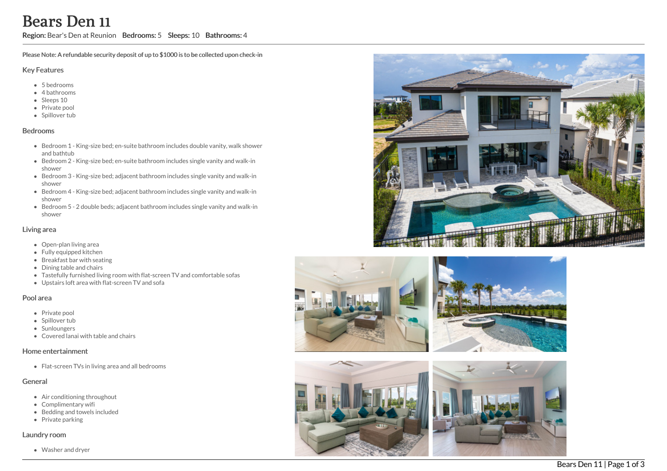# Bears Den 11

Region: Bear's Den at Reunion Bedrooms: 5 Sleeps: 10 Bathrooms: 4

Please Note: A refundable security deposit of up to \$1000 is to be collected upon check-in

#### Key Features

- 5 b e d r o o m s
- 4 bathrooms
- Sleeps 10
- Private pool
- Spillover tub

#### **Bedrooms**

- Bedroom 1 King-size bed; en-suite bathroom includes double vanity, walk shower a n d b a t h t u b
- Bedroom 2 King-size bed; en-suite bathroom includes single vanity and walk-in s h o w e r
- Bedroom 3 King-size bed; adjacent bathroom includes single vanity and walk-in s h o w e r
- Bedroom 4 King-size bed; adjacent bathroom includes single vanity and walk-in s h o w e r
- Bedroom 5 2 double beds; adjacent bathroom includes single vanity and walk-in s h o w e r

### Living area

- Open-plan living area
- Fully equipped kitchen
- Breakfast bar with seating
- Dining table and chairs
- Tastefully furnished living room with flat-screen TV and comfortable sofas
- Upstairs loft area with flat-screen TV and sofa

#### Pool area

- Private pool
- Spillover tub
- Sunloungers
- Covered lanai with table and chairs

#### Home entertainment

Flat-screen TVs in living area and all bedrooms

## General

- Air conditioning throughout
- Complimentary wifi
- Bedding and towels included
- Private parking

#### Laundry room

Washer and dryer







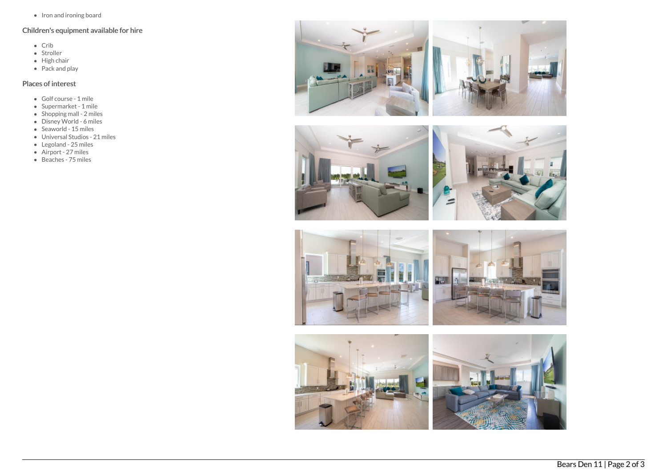• Iron and ironing board

# Children's equipment available for hire

- Crib
- Stroller
- $\bullet$  High chair
- $\bullet$  Pack and play

# Places of interest

- Golf course 1 mile
- Supermarket 1 mile
- $\bullet$  Shopping mall 2 miles
- Disney World 6 miles
- $\bullet$  Seaworld 15 miles
- Universal Studios 21 miles
- Legoland 25 miles
- Airport 27 miles
- Beaches 75 miles